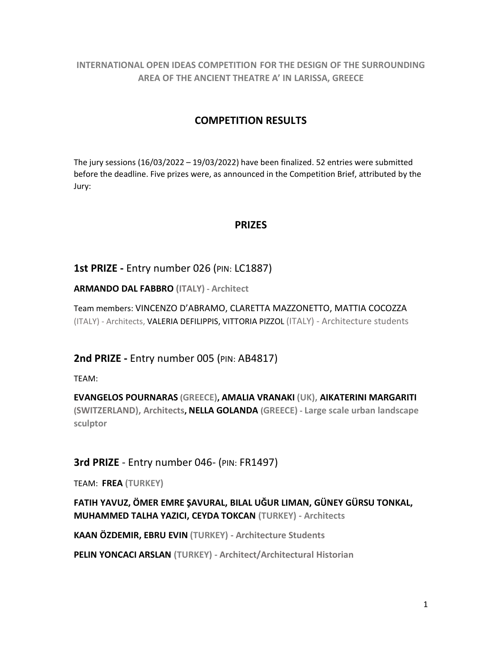**INTERNATIONAL OPEN IDEAS COMPETITION FOR THE DESIGN OF THE SURROUNDING AREA OF THE ANCIENT THEATRE A' IN LARISSA, GREECE**

## **COMPETITION RESULTS**

The jury sessions (16/03/2022 – 19/03/2022) have been finalized. 52 entries were submitted before the deadline. Five prizes were, as announced in the Competition Brief, attributed by the Jury:

## **PRIZES**

## **1st PRIZE -** Entry number 026 (PIN: LC1887)

**ARMANDO DAL FABBRO (ITALY) - Architect**

Team members: VINCENZO D'ABRAMO, CLARETTA MAZZONETTO, MATTIA COCOZZA (ITALY) - Architects, VALERIA DEFILIPPIS, VITTORIA PIZZOL (ITALY) - Architecture students

**2nd PRIZE -** Entry number 005 (PIN: AB4817)

TEAM:

**EVANGELOS POURNARAS (GREECE), AMALIA VRANAKI (UK), AIKATERINI MARGARITI (SWITZERLAND), Architects, NELLA GOLANDA (GREECE) - Large scale urban landscape sculptor**

## **3rd PRIZE** - Entry number 046- (PIN: FR1497)

TEAM: **FREA (TURKEY)**

**FATIH YAVUZ, ÖMER EMRE ŞAVURAL, BILAL UĞUR LIMAN, GÜNEY GÜRSU TONKAL, MUHAMMED TALHA YAZICI, CEYDA TOKCAN (TURKEY) - Architects** 

**KAAN ÖZDEMIR, EBRU EVIN (TURKEY) - Architecture Students**

**PELIN YONCACI ARSLAN (TURKEY) - Architect/Architectural Historian**